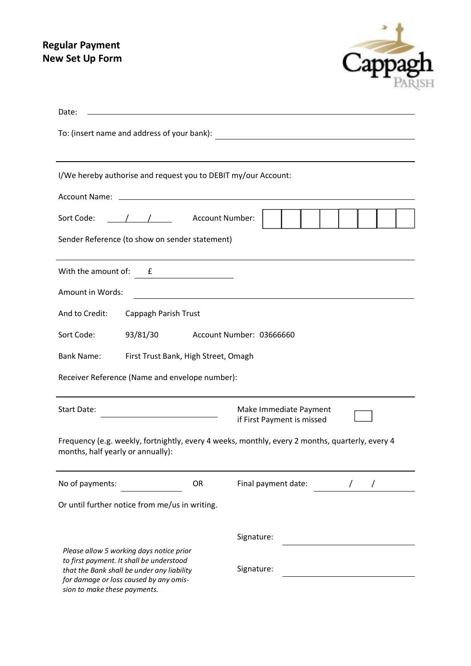## **Regular Payment New Set Up Form**



| Date:                                                                                                                                                                                                        |                                                      |  |
|--------------------------------------------------------------------------------------------------------------------------------------------------------------------------------------------------------------|------------------------------------------------------|--|
| To: (insert name and address of your bank):<br><u> 1989 - Johann Stoff, fransk politik (d. 1989)</u>                                                                                                         |                                                      |  |
| I/We hereby authorise and request you to DEBIT my/our Account:                                                                                                                                               |                                                      |  |
| Account Name: _<br><u> 1989 - Johann John Stone, markin film yn y brenin y brenin y brenin y brenin y brenin y brenin y brenin y br</u>                                                                      |                                                      |  |
| / / Account Number:<br>Sort Code:                                                                                                                                                                            |                                                      |  |
| Sender Reference (to show on sender statement)                                                                                                                                                               |                                                      |  |
| With the amount of:<br>£                                                                                                                                                                                     |                                                      |  |
| Amount in Words:                                                                                                                                                                                             |                                                      |  |
| And to Credit:<br>Cappagh Parish Trust                                                                                                                                                                       |                                                      |  |
| 93/81/30<br>Sort Code:                                                                                                                                                                                       | Account Number: 03666660                             |  |
| <b>Bank Name:</b><br>First Trust Bank, High Street, Omagh                                                                                                                                                    |                                                      |  |
| Receiver Reference (Name and envelope number):                                                                                                                                                               |                                                      |  |
| <b>Start Date:</b>                                                                                                                                                                                           | Make Immediate Payment<br>if First Payment is missed |  |
| Frequency (e.g. weekly, fortnightly, every 4 weeks, monthly, every 2 months, quarterly, every 4<br>months, half yearly or annually):                                                                         |                                                      |  |
| No of payments:<br><b>OR</b>                                                                                                                                                                                 | Final payment date:                                  |  |
| Or until further notice from me/us in writing.                                                                                                                                                               |                                                      |  |
|                                                                                                                                                                                                              | Signature:                                           |  |
| Please allow 5 working days notice prior<br>to first payment. It shall be understood<br>that the Bank shall be under any liability<br>for damage or loss caused by any omis-<br>sion to make these payments. | Signature:                                           |  |